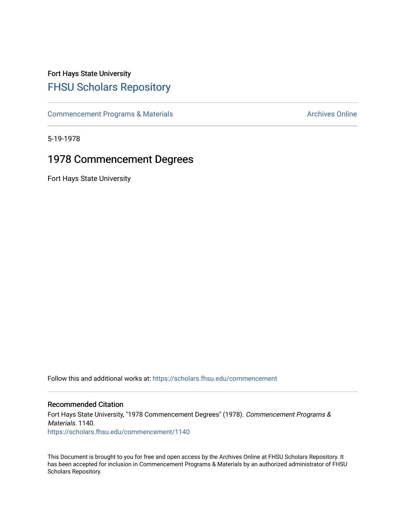## Fort Hays State University [FHSU Scholars Repository](https://scholars.fhsu.edu/)

[Commencement Programs & Materials](https://scholars.fhsu.edu/commencement) **Archives Online** Archives Online

5-19-1978

## 1978 Commencement Degrees

Fort Hays State University

Follow this and additional works at: [https://scholars.fhsu.edu/commencement](https://scholars.fhsu.edu/commencement?utm_source=scholars.fhsu.edu%2Fcommencement%2F1140&utm_medium=PDF&utm_campaign=PDFCoverPages)

## Recommended Citation

Fort Hays State University, "1978 Commencement Degrees" (1978). Commencement Programs & Materials. 1140. [https://scholars.fhsu.edu/commencement/1140](https://scholars.fhsu.edu/commencement/1140?utm_source=scholars.fhsu.edu%2Fcommencement%2F1140&utm_medium=PDF&utm_campaign=PDFCoverPages) 

This Document is brought to you for free and open access by the Archives Online at FHSU Scholars Repository. It has been accepted for inclusion in Commencement Programs & Materials by an authorized administrator of FHSU Scholars Repository.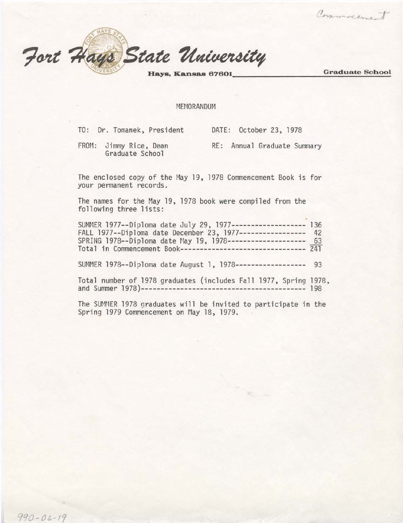Fort Hays State University Graduate School

Communement

MEMORANDUM

|  | TO: Dr. Tomanek, President | DATE: October 23, 1978 |  |  |
|--|----------------------------|------------------------|--|--|
|  |                            |                        |  |  |

FROM: Jimmy Rice, Dean Graduate School RE: Annual Graduate Summary

The enclosed copy of the May 19, 1978 Commencement Book is for your permanent records.

The names for the May 19, 1978 book were compiled from the following three lists:

| SUMMER 1977--Diploma date July 29, 1977------------------- 136 |  |
|----------------------------------------------------------------|--|
| FALL 1977--Diploma date December 23, 1977----------------- 42  |  |
| SPRING 1978--Diploma date May 19, 1978-------------------- 63  |  |
| Total in Commencement Book-------------------------------- 241 |  |

SUMMER 1978--Diploma date August l, 1978------------------ 93

Total number of 1978 graduates (includes Fall 1977, Spring 1978, and Summer 1978)------------------------------------------ 198

The SUMMER 1978 graduates will be invited to participate in the Spring 1979 Commencement on May 18, 1979.

SS-